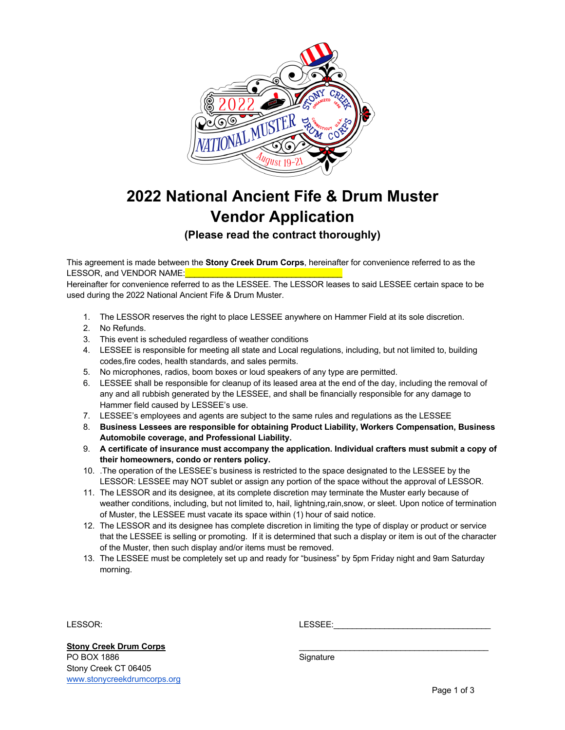

## **2022 National Ancient Fife & Drum Muster Vendor Application**

**(Please read the contract thoroughly)**

This agreement is made between the **Stony Creek Drum Corps**, hereinafter for convenience referred to as the LESSOR, and VENDOR NAME:

Hereinafter for convenience referred to as the LESSEE. The LESSOR leases to said LESSEE certain space to be used during the 2022 National Ancient Fife & Drum Muster.

- 1. The LESSOR reserves the right to place LESSEE anywhere on Hammer Field at its sole discretion.
- 2. No Refunds.
- 3. This event is scheduled regardless of weather conditions
- 4. LESSEE is responsible for meeting all state and Local regulations, including, but not limited to, building codes,fire codes, health standards, and sales permits.
- 5. No microphones, radios, boom boxes or loud speakers of any type are permitted.
- 6. LESSEE shall be responsible for cleanup of its leased area at the end of the day, including the removal of any and all rubbish generated by the LESSEE, and shall be financially responsible for any damage to Hammer field caused by LESSEE's use.
- 7. LESSEE's employees and agents are subject to the same rules and regulations as the LESSEE
- 8. **Business Lessees are responsible for obtaining Product Liability, Workers Compensation, Business Automobile coverage, and Professional Liability.**
- 9. **A certificate of insurance must accompany the application. Individual crafters must submit a copy of their homeowners, condo or renters policy.**
- 10. .The operation of the LESSEE's business is restricted to the space designated to the LESSEE by the LESSOR: LESSEE may NOT sublet or assign any portion of the space without the approval of LESSOR.
- 11. The LESSOR and its designee, at its complete discretion may terminate the Muster early because of weather conditions, including, but not limited to, hail, lightning,rain,snow, or sleet. Upon notice of termination of Muster, the LESSEE must vacate its space within (1) hour of said notice.
- 12. The LESSOR and its designee has complete discretion in limiting the type of display or product or service that the LESSEE is selling or promoting. If it is determined that such a display or item is out of the character of the Muster, then such display and/or items must be removed.
- 13. The LESSEE must be completely set up and ready for "business" by 5pm Friday night and 9am Saturday morning.

LESSOR: LESSEE:\_\_\_\_\_\_\_\_\_\_\_\_\_\_\_\_\_\_\_\_\_\_\_\_\_\_\_\_\_\_\_\_\_\_

Stony Creek Drum Corps PO BOX 1886 Signature Stony Creek CT 06405 www.stonycreekdrumcorps.org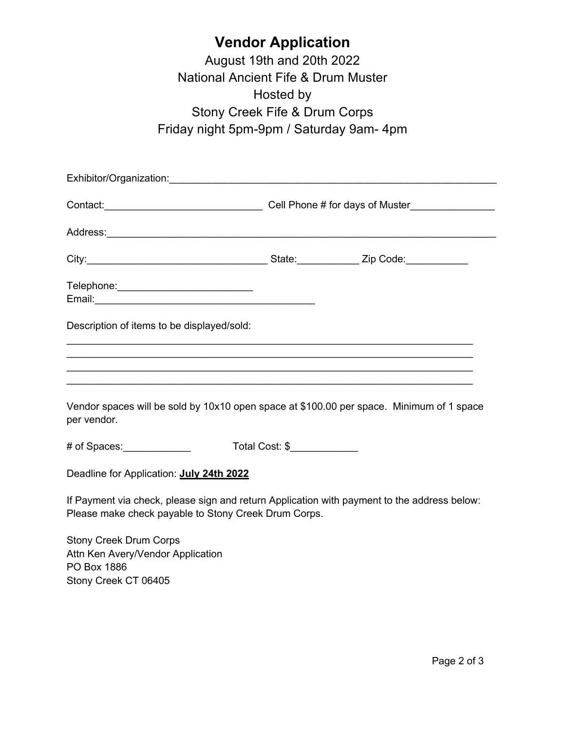## **Vendor Application**

August 19th and 20th 2022 National Ancient Fife & Drum Muster Hosted by Stony Creek Fife & Drum Corps Friday night 5pm-9pm / Saturday 9am- 4pm

|                                                                                                                                                                                                                                     |                | Contact: Contact: Contact: Contact: Contact: Contact: Contact: Contact: Contact: Contact: Contact: Contact: Contact: Contact: Contact: Contact: Contact: Contact: Contact: Contact: Contact: Contact: Contact: Contact: Contac |  |
|-------------------------------------------------------------------------------------------------------------------------------------------------------------------------------------------------------------------------------------|----------------|--------------------------------------------------------------------------------------------------------------------------------------------------------------------------------------------------------------------------------|--|
| Address: <u>Address:</u> Address: Address: Address: Address: Address: Address: Address: Address: Address: Address: Address: Address: Address: Address: Address: Address: Address: Address: Address: Address: Address: Address: Addr |                |                                                                                                                                                                                                                                |  |
|                                                                                                                                                                                                                                     |                |                                                                                                                                                                                                                                |  |
| Telephone: <u>_________________________________</u>                                                                                                                                                                                 |                |                                                                                                                                                                                                                                |  |
| Description of items to be displayed/sold:                                                                                                                                                                                          |                |                                                                                                                                                                                                                                |  |
| ,我们也不会有什么。""我们的人,我们也不会有什么?""我们的人,我们也不会有什么?""我们的人,我们也不会有什么?""我们的人,我们也不会有什么?""我们的人                                                                                                                                                    |                |                                                                                                                                                                                                                                |  |
| ,我们也不会有什么。""我们的人,我们也不会有什么?""我们的人,我们也不会有什么?""我们的人,我们也不会有什么?""我们的人,我们也不会有什么?""我们的人<br>Vendor spaces will be sold by 10x10 open space at \$100.00 per space. Minimum of 1 space<br>per vendor.                                         |                |                                                                                                                                                                                                                                |  |
| # of Spaces: _____________                                                                                                                                                                                                          | Total Cost: \$ |                                                                                                                                                                                                                                |  |
| Deadline for Application: July 24th 2022                                                                                                                                                                                            |                |                                                                                                                                                                                                                                |  |
| If Payment via check, please sign and return Application with payment to the address below:<br>Please make check payable to Stony Creek Drum Corps.                                                                                 |                |                                                                                                                                                                                                                                |  |
| <b>Stony Creek Drum Corps</b><br>Attn Ken Avery/Vendor Annlication                                                                                                                                                                  |                |                                                                                                                                                                                                                                |  |

Attn Ken Avery/Vendor Application PO Box 1886 Stony Creek CT 06405